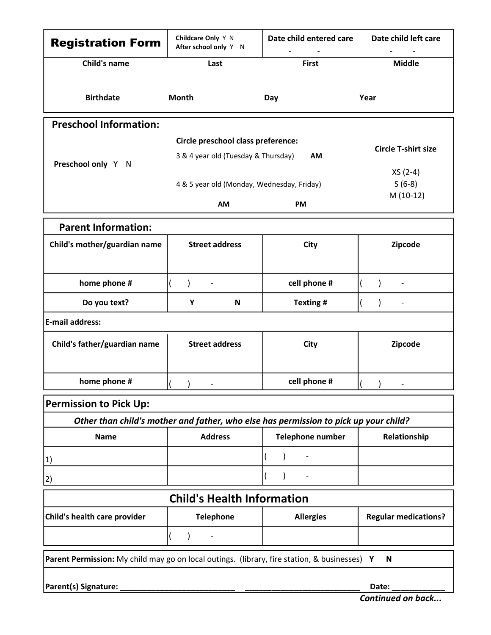| <b>Registration Form</b>                                                                     | Childcare Only Y N<br>After school only Y N                               | Date child entered care                                                              | Date child left care        |
|----------------------------------------------------------------------------------------------|---------------------------------------------------------------------------|--------------------------------------------------------------------------------------|-----------------------------|
| <b>Child's name</b>                                                                          | Last                                                                      | <b>First</b>                                                                         | <b>Middle</b>               |
| <b>Birthdate</b>                                                                             | Month                                                                     | Day                                                                                  | Year                        |
| <b>Preschool Information:</b>                                                                |                                                                           |                                                                                      |                             |
| Preschool only Y N                                                                           | Circle preschool class preference:<br>3 & 4 year old (Tuesday & Thursday) | AM                                                                                   | <b>Circle T-shirt size</b>  |
|                                                                                              | 4 & 5 year old (Monday, Wednesday, Friday)                                |                                                                                      | XS (2-4)<br>$S(6-8)$        |
|                                                                                              | AM                                                                        | PM                                                                                   | M (10-12)                   |
| <b>Parent Information:</b>                                                                   |                                                                           |                                                                                      |                             |
| Child's mother/guardian name                                                                 | <b>Street address</b>                                                     | City                                                                                 | Zipcode                     |
| home phone #                                                                                 | $\overline{\phantom{a}}$                                                  | cell phone #                                                                         |                             |
| Do you text?                                                                                 | Υ<br>$\boldsymbol{\mathsf{N}}$                                            | Texting #                                                                            |                             |
| E-mail address:                                                                              |                                                                           |                                                                                      |                             |
| Child's father/guardian name                                                                 | <b>Street address</b>                                                     | City                                                                                 | Zipcode                     |
| home phone #                                                                                 |                                                                           | cell phone #                                                                         |                             |
| <b>Permission to Pick Up:</b>                                                                |                                                                           |                                                                                      |                             |
|                                                                                              |                                                                           | Other than child's mother and father, who else has permission to pick up your child? |                             |
| <b>Name</b>                                                                                  | <b>Address</b>                                                            | <b>Telephone number</b>                                                              | Relationship                |
| $\vert 1 \rangle$                                                                            |                                                                           |                                                                                      |                             |
| 2)                                                                                           |                                                                           |                                                                                      |                             |
|                                                                                              | <b>Child's Health Information</b>                                         |                                                                                      |                             |
| Child's health care provider                                                                 | <b>Telephone</b>                                                          | <b>Allergies</b>                                                                     | <b>Regular medications?</b> |
|                                                                                              | $\overline{\phantom{a}}$                                                  |                                                                                      |                             |
| Parent Permission: My child may go on local outings. (library, fire station, & businesses) Y |                                                                           |                                                                                      | $\mathsf N$                 |
|                                                                                              |                                                                           |                                                                                      |                             |
| Parent(s) Signature: _                                                                       |                                                                           |                                                                                      | Date:                       |

Continued on back...